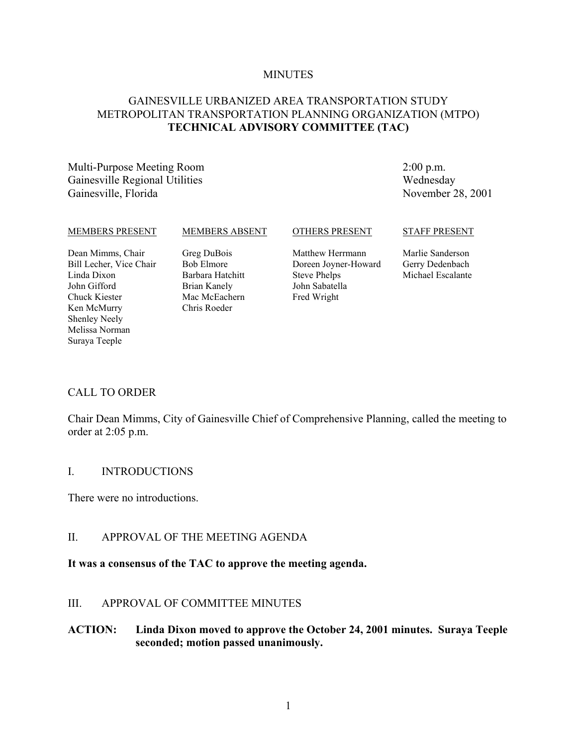#### **MINUTES**

# GAINESVILLE URBANIZED AREA TRANSPORTATION STUDY METROPOLITAN TRANSPORTATION PLANNING ORGANIZATION (MTPO) **TECHNICAL ADVISORY COMMITTEE (TAC)**

Multi-Purpose Meeting Room Gainesville Regional Utilities Gainesville, Florida

2:00 p.m. Wednesday November 28, 2001

#### MEMBERS PRESENT

Dean Mimms, Chair Bill Lecher, Vice Chair Linda Dixon John Gifford Chuck Kiester Ken McMurry Shenley Neely Melissa Norman Suraya Teeple

Greg DuBois Bob Elmore Barbara Hatchitt Brian Kanely Mac McEachern Chris Roeder

MEMBERS ABSENT

Matthew Herrmann Doreen Joyner-Howard Steve Phelps John Sabatella Fred Wright

OTHERS PRESENT

#### STAFF PRESENT

Marlie Sanderson Gerry Dedenbach Michael Escalante

#### CALL TO ORDER

Chair Dean Mimms, City of Gainesville Chief of Comprehensive Planning, called the meeting to order at 2:05 p.m.

### I. INTRODUCTIONS

There were no introductions.

### II. APPROVAL OF THE MEETING AGENDA

#### **It was a consensus of the TAC to approve the meeting agenda.**

### III. APPROVAL OF COMMITTEE MINUTES

### **ACTION: Linda Dixon moved to approve the October 24, 2001 minutes. Suraya Teeple seconded; motion passed unanimously.**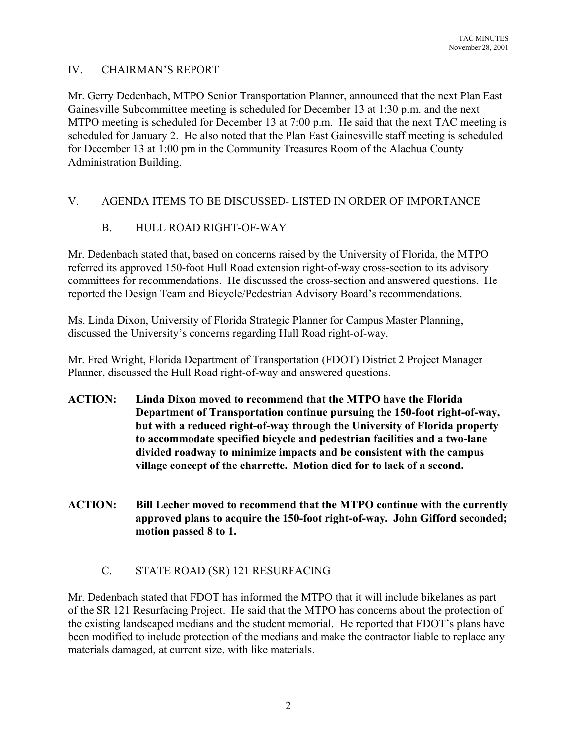# IV. CHAIRMAN'S REPORT

Mr. Gerry Dedenbach, MTPO Senior Transportation Planner, announced that the next Plan East Gainesville Subcommittee meeting is scheduled for December 13 at 1:30 p.m. and the next MTPO meeting is scheduled for December 13 at 7:00 p.m. He said that the next TAC meeting is scheduled for January 2. He also noted that the Plan East Gainesville staff meeting is scheduled for December 13 at 1:00 pm in the Community Treasures Room of the Alachua County Administration Building.

# V. AGENDA ITEMS TO BE DISCUSSED- LISTED IN ORDER OF IMPORTANCE

# B. HULL ROAD RIGHT-OF-WAY

Mr. Dedenbach stated that, based on concerns raised by the University of Florida, the MTPO referred its approved 150-foot Hull Road extension right-of-way cross-section to its advisory committees for recommendations. He discussed the cross-section and answered questions. He reported the Design Team and Bicycle/Pedestrian Advisory Board's recommendations.

Ms. Linda Dixon, University of Florida Strategic Planner for Campus Master Planning, discussed the University's concerns regarding Hull Road right-of-way.

Mr. Fred Wright, Florida Department of Transportation (FDOT) District 2 Project Manager Planner, discussed the Hull Road right-of-way and answered questions.

- **ACTION: Linda Dixon moved to recommend that the MTPO have the Florida Department of Transportation continue pursuing the 150-foot right-of-way, but with a reduced right-of-way through the University of Florida property to accommodate specified bicycle and pedestrian facilities and a two-lane divided roadway to minimize impacts and be consistent with the campus village concept of the charrette. Motion died for to lack of a second.**
- **ACTION: Bill Lecher moved to recommend that the MTPO continue with the currently approved plans to acquire the 150-foot right-of-way. John Gifford seconded; motion passed 8 to 1.**

# C. STATE ROAD (SR) 121 RESURFACING

Mr. Dedenbach stated that FDOT has informed the MTPO that it will include bikelanes as part of the SR 121 Resurfacing Project. He said that the MTPO has concerns about the protection of the existing landscaped medians and the student memorial. He reported that FDOT's plans have been modified to include protection of the medians and make the contractor liable to replace any materials damaged, at current size, with like materials.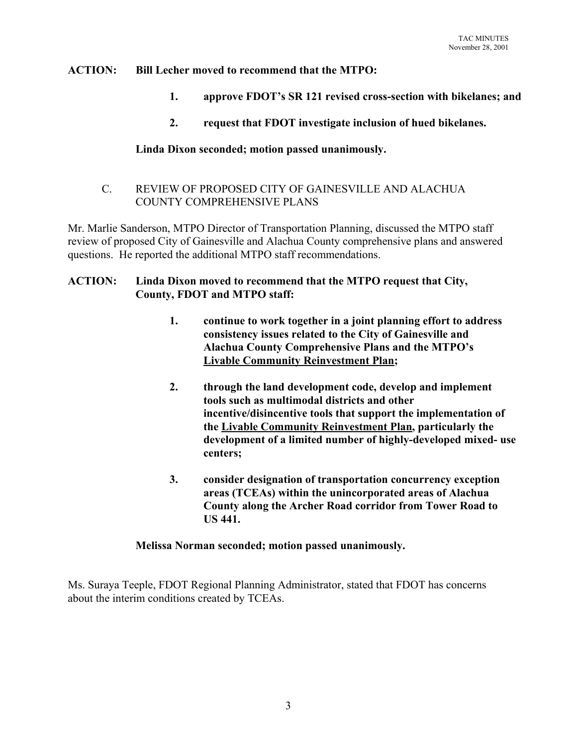# **ACTION: Bill Lecher moved to recommend that the MTPO:**

- **1. approve FDOT's SR 121 revised cross-section with bikelanes; and**
- **2. request that FDOT investigate inclusion of hued bikelanes.**

# **Linda Dixon seconded; motion passed unanimously.**

C. REVIEW OF PROPOSED CITY OF GAINESVILLE AND ALACHUA COUNTY COMPREHENSIVE PLANS

Mr. Marlie Sanderson, MTPO Director of Transportation Planning, discussed the MTPO staff review of proposed City of Gainesville and Alachua County comprehensive plans and answered questions. He reported the additional MTPO staff recommendations.

# **ACTION: Linda Dixon moved to recommend that the MTPO request that City, County, FDOT and MTPO staff:**

- **1. continue to work together in a joint planning effort to address consistency issues related to the City of Gainesville and Alachua County Comprehensive Plans and the MTPO's Livable Community Reinvestment Plan;**
- **2. through the land development code, develop and implement tools such as multimodal districts and other incentive/disincentive tools that support the implementation of the Livable Community Reinvestment Plan, particularly the development of a limited number of highly-developed mixed- use centers;**
- **3. consider designation of transportation concurrency exception areas (TCEAs) within the unincorporated areas of Alachua County along the Archer Road corridor from Tower Road to US 441.**

### **Melissa Norman seconded; motion passed unanimously.**

Ms. Suraya Teeple, FDOT Regional Planning Administrator, stated that FDOT has concerns about the interim conditions created by TCEAs.